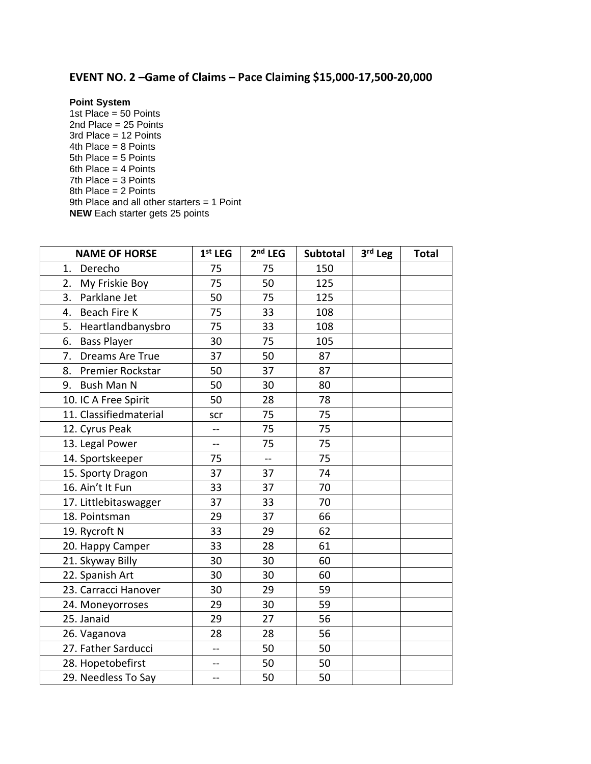## **EVENT NO. 2 –Game of Claims – Pace Claiming \$15,000-17,500-20,000**

## **Point System**

1st Place =  $50$  Points 2nd Place = 25 Points 3rd Place = 12 Points 4th Place = 8 Points 5th Place = 5 Points 6th Place = 4 Points 7th Place = 3 Points 8th Place = 2 Points 9th Place and all other starters = 1 Point **NEW** Each starter gets 25 points

| <b>NAME OF HORSE</b>     | $1st$ LEG      | $2nd$ LEG | Subtotal | $3rd$ Leg | <b>Total</b> |
|--------------------------|----------------|-----------|----------|-----------|--------------|
| Derecho<br>1.            | 75             | 75        | 150      |           |              |
| My Friskie Boy<br>2.     | 75             | 50        | 125      |           |              |
| 3.<br>Parklane Jet       | 50             | 75        | 125      |           |              |
| Beach Fire K<br>4.       | 75             | 33        | 108      |           |              |
| Heartlandbanysbro<br>5.  | 75             | 33        | 108      |           |              |
| <b>Bass Player</b><br>6. | 30             | 75        | 105      |           |              |
| Dreams Are True<br>7.    | 37             | 50        | 87       |           |              |
| Premier Rockstar<br>8.   | 50             | 37        | 87       |           |              |
| <b>Bush Man N</b><br>9.  | 50             | 30        | 80       |           |              |
| 10. IC A Free Spirit     | 50             | 28        | 78       |           |              |
| 11. Classifiedmaterial   | scr            | 75        | 75       |           |              |
| 12. Cyrus Peak           | $-$            | 75        | 75       |           |              |
| 13. Legal Power          | $\overline{a}$ | 75        | 75       |           |              |
| 14. Sportskeeper         | 75             | --        | 75       |           |              |
| 15. Sporty Dragon        | 37             | 37        | 74       |           |              |
| 16. Ain't It Fun         | 33             | 37        | 70       |           |              |
| 17. Littlebitaswagger    | 37             | 33        | 70       |           |              |
| 18. Pointsman            | 29             | 37        | 66       |           |              |
| 19. Rycroft N            | 33             | 29        | 62       |           |              |
| 20. Happy Camper         | 33             | 28        | 61       |           |              |
| 21. Skyway Billy         | 30             | 30        | 60       |           |              |
| 22. Spanish Art          | 30             | 30        | 60       |           |              |
| 23. Carracci Hanover     | 30             | 29        | 59       |           |              |
| 24. Moneyorroses         | 29             | 30        | 59       |           |              |
| 25. Janaid               | 29             | 27        | 56       |           |              |
| 26. Vaganova             | 28             | 28        | 56       |           |              |
| 27. Father Sarducci      | --             | 50        | 50       |           |              |
| 28. Hopetobefirst        | --             | 50        | 50       |           |              |
| 29. Needless To Say      | $-$            | 50        | 50       |           |              |